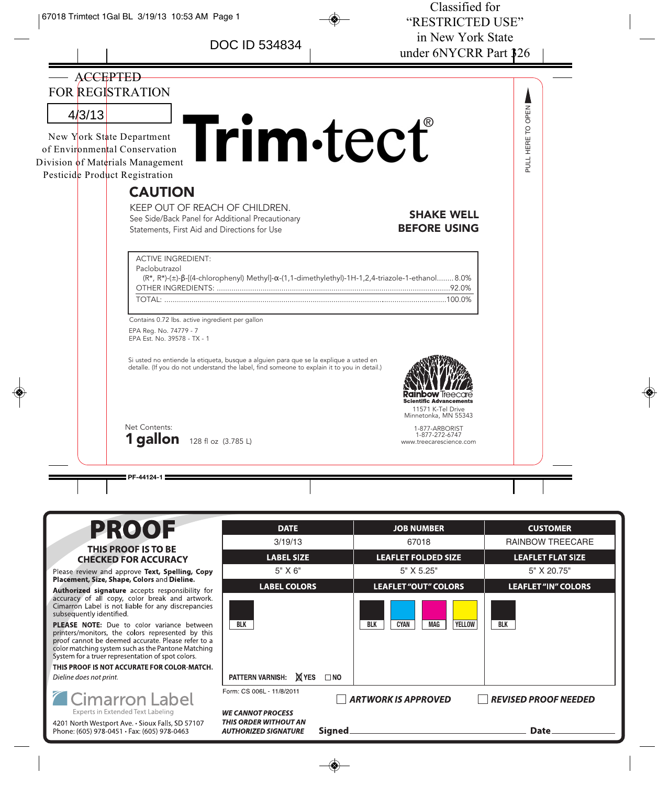DOC ID 534834



Please review and approve Text, Spelling, Copy<br>Placement, Size, Shape, Colors and Dieline.

Authorized signature accepts responsibility for accuracy of all copy, color break and artwork.<br>Cimarron Label is not liable for any discrepancies subsequently identified.

PLEASE NOTE: Due to color variance between printers/monitors, the colors represented by this proof cannot be deemed accurate. Please refer to a color matching system such as the Pantone Matching System for a truer representation of spot colors.

THIS PROOF IS NOT ACCURATE FOR COLOR-MATCH. Dieline does not print.



4201 North Westport Ave. • Sioux Falls, SD 57107 Phone: (605) 978-0451 • Fax: (605) 978-0463

| DAIE                                                                                                     | JOB NUMBER                                        | <b>CUSIOMER</b>            |  |
|----------------------------------------------------------------------------------------------------------|---------------------------------------------------|----------------------------|--|
| 3/19/13                                                                                                  | 67018                                             | <b>RAINBOW TREECARE</b>    |  |
| <b>LABEL SIZE</b>                                                                                        | <b>LEAFLET FOLDED SIZE</b>                        | <b>LEAFLET FLAT SIZE</b>   |  |
| $5"$ X $6"$                                                                                              | 5" X 5.25"                                        | 5" X 20.75"                |  |
| <b>LABEL COLORS</b>                                                                                      | <b>LEAFLET "OUT" COLORS</b>                       | <b>LEAFLET "IN" COLORS</b> |  |
| <b>BLK</b>                                                                                               | <b>YELLOW</b><br><b>CYAN</b><br>MAG<br><b>BLK</b> | <b>BLK</b>                 |  |
| PATTERN VARNISH: X YES<br>$\square$ NO                                                                   |                                                   |                            |  |
| Form: CS 006L - 11/8/2011<br><b>ARTWORK IS APPROVED</b><br><b>REVISED PROOF NEEDED</b>                   |                                                   |                            |  |
| <i><b>NE CANNOT PROCESS</b></i><br>THIS ORDER WITHOUT AN<br>Signed<br><i><b>IUTHORIZED SIGNATURE</b></i> |                                                   | Date.                      |  |
|                                                                                                          |                                                   |                            |  |

◈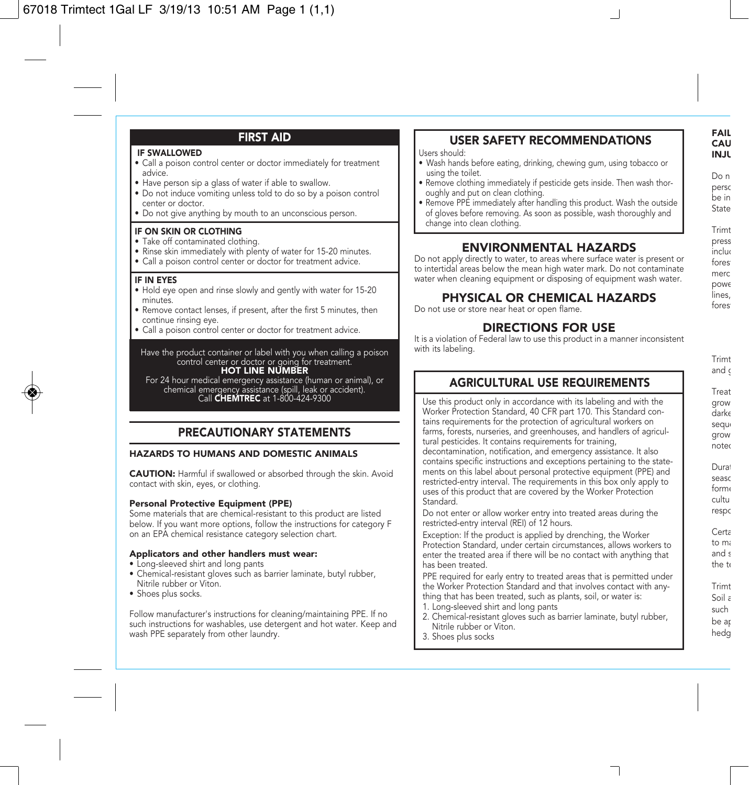# FIRST AID

#### IF SWALLOWED

- Call a poison control center or doctor immediately for treatment advice.
- Have person sip a glass of water if able to swallow.
- Do not induce vomiting unless told to do so by a poison control center or doctor.
- Do not give anything by mouth to an unconscious person.

### IF ON SKIN OR CLOTHING

- Take off contaminated clothing.
- Rinse skin immediately with plenty of water for 15-20 minutes.
- Call a poison control center or doctor for treatment advice.

### IF IN EYES

- Hold eye open and rinse slowly and gently with water for 15-20 minutes.
- Remove contact lenses, if present, after the first 5 minutes, then continue rinsing eye.
- Call a poison control center or doctor for treatment advice.

Have the product container or label with you when calling a poison control center or doctor or going for treatment.<br>HOT LINE NUMBER

For 24 hour medical emergency assistance (human or animal), or chemical emergency assistance (spill, leak or accident). Call CHEMTREC at 1-800-424-9300

## PRECAUTIONARY STATEMENTS

### HAZARDS TO HUMANS AND DOMESTIC ANIMALS

CAUTION: Harmful if swallowed or absorbed through the skin. Avoid contact with skin, eyes, or clothing.

### Personal Protective Equipment (PPE)

Some materials that are chemical-resistant to this product are listed below. If you want more options, follow the instructions for category F on an EPA chemical resistance category selection chart.

#### Applicators and other handlers must wear:

- Long-sleeved shirt and long pants
- Chemical-resistant gloves such as barrier laminate, butyl rubber, Nitrile rubber or Viton.
- Shoes plus socks.

Follow manufacturer's instructions for cleaning/maintaining PPE. If no such instructions for washables, use detergent and hot water. Keep and wash PPE separately from other laundry.

## USER SAFETY RECOMMENDATIONS

Users should:

- Wash hands before eating, drinking, chewing gum, using tobacco or using the toilet.
- Remove clothing immediately if pesticide gets inside. Then wash thoroughly and put on clean clothing.
- Remove PPE immediately after handling this product. Wash the outside of gloves before removing. As soon as possible, wash thoroughly and change into clean clothing.

### ENVIRONMENTAL HAZARDS

Do not apply directly to water, to areas where surface water is present or to intertidal areas below the mean high water mark. Do not contaminate water when cleaning equipment or disposing of equipment wash water.

### PHYSICAL OR CHEMICAL HAZARDS

Do not use or store near heat or open flame.

### DIRECTIONS FOR USE

It is a violation of Federal law to use this product in a manner inconsistent with its labeling.

Trimt and o Treat grow darke seque grow noted Durat seaso forme cultu respo Certa to ma and s the te Trimt Soil a such be ap hedg

# AGRICULTURAL USE REQUIREMENTS

Use this product only in accordance with its labeling and with the Worker Protection Standard, 40 CFR part 170. This Standard contains requirements for the protection of agricultural workers on farms, forests, nurseries, and greenhouses, and handlers of agricultural pesticides. It contains requirements for training, decontamination, notification, and emergency assistance. It also contains specific instructions and exceptions pertaining to the statements on this label about personal protective equipment (PPE) and restricted-entry interval. The requirements in this box only apply to uses of this product that are covered by the Worker Protection **Standard** 

Do not enter or allow worker entry into treated areas during the restricted-entry interval (REI) of 12 hours.

Exception: If the product is applied by drenching, the Worker Protection Standard, under certain circumstances, allows workers to enter the treated area if there will be no contact with anything that has been treated.

PPE required for early entry to treated areas that is permitted under the Worker Protection Standard and that involves contact with anything that has been treated, such as plants, soil, or water is:

- 1. Long-sleeved shirt and long pants
- 2. Chemical-resistant gloves such as barrier laminate, butyl rubber, Nitrile rubber or Viton.
- 3. Shoes plus socks

Do n perso be in

State

Trimt press includ fores

merc powe lines, fores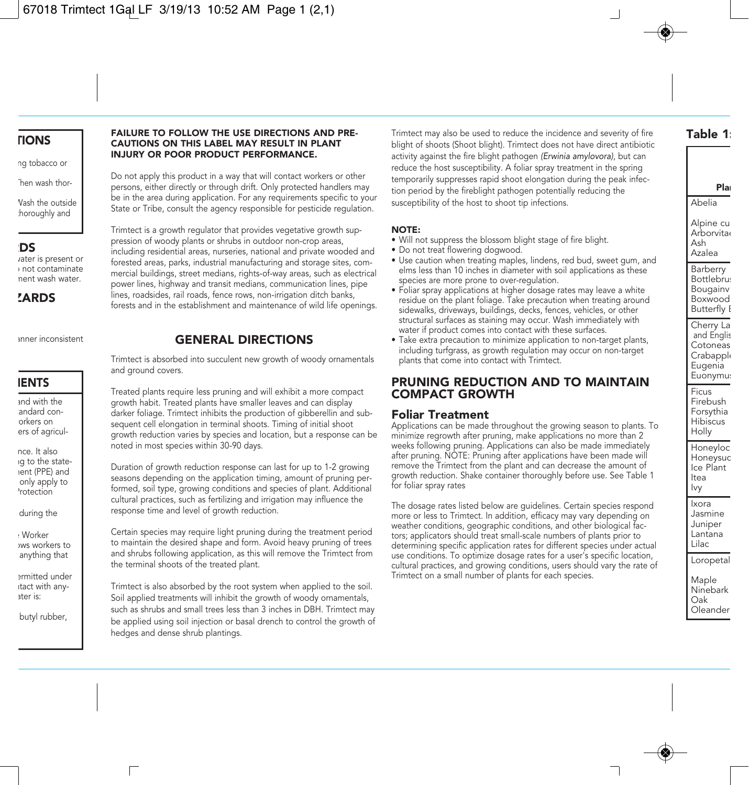## TIONS

ng tobacco or

Then wash thor-

Wash the outside thoroughly and

## RDS

rater is present or o not contaminate ment wash water.

**ZARDS** 

anner inconsistent

## **IENTS**

and with the andard conorkers on ers of agricul-

nce. It also ng to the statement (PPE) and only apply to Protection

during the

e Worker ows workers to anything that

ermitted under ntact with anyater is:

butyl rubber,

### FAILURE TO FOLLOW THE USE DIRECTIONS AND PRE-CAUTIONS ON THIS LABEL MAY RESULT IN PLANT INJURY OR POOR PRODUCT PERFORMANCE.

Do not apply this product in a way that will contact workers or other persons, either directly or through drift. Only protected handlers may be in the area during application. For any requirements specific to your State or Tribe, consult the agency responsible for pesticide regulation.

Trimtect is a growth regulator that provides vegetative growth suppression of woody plants or shrubs in outdoor non-crop areas, including residential areas, nurseries, national and private wooded and forested areas, parks, industrial manufacturing and storage sites, commercial buildings, street medians, rights-of-way areas, such as electrical power lines, highway and transit medians, communication lines, pipe lines, roadsides, rail roads, fence rows, non-irrigation ditch banks, forests and in the establishment and maintenance of wild life openings.

# GENERAL DIRECTIONS

Trimtect is absorbed into succulent new growth of woody ornamentals and ground covers.

Treated plants require less pruning and will exhibit a more compact growth habit. Treated plants have smaller leaves and can display darker foliage. Trimtect inhibits the production of gibberellin and subsequent cell elongation in terminal shoots. Timing of initial shoot growth reduction varies by species and location, but a response can be noted in most species within 30-90 days.

Duration of growth reduction response can last for up to 1-2 growing seasons depending on the application timing, amount of pruning performed, soil type, growing conditions and species of plant. Additional cultural practices, such as fertilizing and irrigation may influence the response time and level of growth reduction.

Certain species may require light pruning during the treatment period to maintain the desired shape and form. Avoid heavy pruning of trees and shrubs following application, as this will remove the Trimtect from the terminal shoots of the treated plant.

Trimtect is also absorbed by the root system when applied to the soil. Soil applied treatments will inhibit the growth of woody ornamentals, such as shrubs and small trees less than 3 inches in DBH. Trimtect may be applied using soil injection or basal drench to control the growth of hedges and dense shrub plantings.

Trimtect may also be used to reduce the incidence and severity of fire blight of shoots (Shoot blight). Trimtect does not have direct antibiotic activity against the fire blight pathogen (Erwinia amylovora), but can reduce the host susceptibility. A foliar spray treatment in the spring temporarily suppresses rapid shoot elongation during the peak infection period by the fireblight pathogen potentially reducing the susceptibility of the host to shoot tip infections.

### NOTE:

- Will not suppress the blossom blight stage of fire blight.
- Do not treat flowering dogwood.
- Use caution when treating maples, lindens, red bud, sweet gum, and elms less than 10 inches in diameter with soil applications as these species are more prone to over-regulation.
- Foliar spray applications at higher dosage rates may leave a white residue on the plant foliage. Take precaution when treating around sidewalks, driveways, buildings, decks, fences, vehicles, or other structural surfaces as staining may occur. Wash immediately with water if product comes into contact with these surfaces.
- Take extra precaution to minimize application to non-target plants, including turfgrass, as growth regulation may occur on non-target plants that come into contact with Trimtect.

## PRUNING REDUCTION AND TO MAINTAIN COMPACT GROWTH

## Foliar Treatment

Applications can be made throughout the growing season to plants. To minimize regrowth after pruning, make applications no more than 2 weeks following pruning. Applications can also be made immediately after pruning. NOTE: Pruning after applications have been made will remove the Trimtect from the plant and can decrease the amount of growth reduction. Shake container thoroughly before use. See Table 1 for foliar spray rates

The dosage rates listed below are guidelines. Certain species respond more or less to Trimtect. In addition, efficacy may vary depending on weather conditions, geographic conditions, and other biological factors; applicators should treat small-scale numbers of plants prior to determining specific application rates for different species under actual use conditions. To optimize dosage rates for a user's specific location, cultural practices, and growing conditions, users should vary the rate of Trimtect on a small number of plants for each species.

Alpine cu **Arborvitae** Ash Azalea Barberry **Bottlebrus** Bougainv Boxwood **Butterfly I** Cherry La and Englis Cotoneas Crabapple Eugenia Euonymus Ficus Firebush Forsythia **Hibiscus** Holly Honeyloc Honeysuc Ice Plant Itea Ivy Ixora Jasmine Juniper Lantana Lilac Loropetal Maple

Ninebark Oak Oleander

Plan Abelia

Table 1: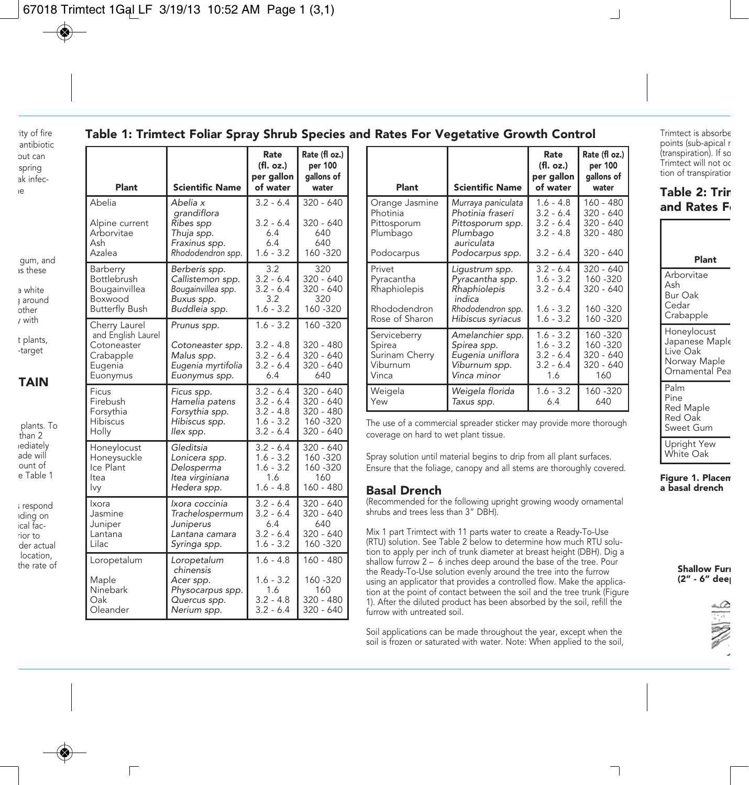ity of fire antibiotic but can spring ak infeche

## Table 1: Trimtect Foliar Spray Shrub Species and Rates For Vegetative Growth Control

Rate (fl oz.)

Rate

as these a white g around other y with

gum, and

t plants, -target

# TAIN

plants. To than 2 iediately ade will ount of e Table 1

s respond nding on ical facrior to der actual location, the rate of

г

| Plant                                                                                  | <b>Scientific Name</b>                                                                   | (fl. oz.)<br>per gallon<br>of water                             | per 100<br>gallons of<br>water                                |
|----------------------------------------------------------------------------------------|------------------------------------------------------------------------------------------|-----------------------------------------------------------------|---------------------------------------------------------------|
| Abelia<br>Alpine current<br>Arborvitae<br>Ash<br>Azalea                                | Abelia x<br>grandiflora<br>Ribes spp<br>Thuja spp.<br>Fraxinus spp.<br>Rhododendron spp. | $3.2 - 6.4$<br>$3.2 - 6.4$<br>6.4<br>6.4<br>$1.6 - 3.2$         | $320 - 640$<br>$320 - 640$<br>640<br>640<br>160 - 320         |
| Barberry                                                                               | Berberis spp.                                                                            | 3.2                                                             | 320                                                           |
| Bottlebrush                                                                            | Callistemon spp.                                                                         | $3.2 - 6.4$                                                     | $320 - 640$                                                   |
| Bougainvillea                                                                          | Bougainvillea spp.                                                                       | $3.2 - 6.4$                                                     | $320 - 640$                                                   |
| Boxwood                                                                                | Buxus spp.                                                                               | 3.2                                                             | 320                                                           |
| <b>Butterfly Bush</b>                                                                  | Buddleia spp.                                                                            | $1.6 - 3.2$                                                     | 160 - 320                                                     |
| Cherry Laurel<br>and English Laurel<br>Cotoneaster<br>Crabapple<br>Eugenia<br>Euonymus | Prunus spp.<br>Cotoneaster spp.<br>Malus spp.<br>Eugenia myrtifolia<br>Euonymus spp.     | $1.6 - 3.2$<br>$3.2 - 4.8$<br>$3.2 - 6.4$<br>$3.2 - 6.4$<br>6.4 | 160 - 320<br>$320 - 480$<br>$320 - 640$<br>$320 - 640$<br>640 |
| Ficus                                                                                  | Ficus spp.                                                                               | $3.2 - 6.4$                                                     | 320 - 640                                                     |
| Firebush                                                                               | Hamelia patens                                                                           | $3.2 - 6.4$                                                     | 320 - 640                                                     |
| Forsythia                                                                              | Forsythia spp.                                                                           | $3.2 - 4.8$                                                     | 320 - 480                                                     |
| Hibiscus                                                                               | Hibiscus spp.                                                                            | $1.6 - 3.2$                                                     | 160 - 320                                                     |
| Holly                                                                                  | llex spp.                                                                                | $3.2 - 6.4$                                                     | $320 - 640$                                                   |
| Honeylocust                                                                            | Gleditsia                                                                                | $3.2 - 6.4$                                                     | 320 - 640                                                     |
| Honeysuckle                                                                            | Lonicera spp.                                                                            | $1.6 - 3.2$                                                     | 160 - 320                                                     |
| Ice Plant                                                                              | Delosperma                                                                               | $1.6 - 3.2$                                                     | 160 - 320                                                     |
| Itea                                                                                   | Itea virginiana                                                                          | 1.6                                                             | 160                                                           |
| lvy                                                                                    | Hedera spp.                                                                              | $1.6 - 4.8$                                                     | 160 - 480                                                     |
| Ixora                                                                                  | Ixora coccinia                                                                           | $3.2 - 6.4$                                                     | $320 - 640$                                                   |
| Jasmine                                                                                | Trachelospermum                                                                          | $3.2 - 6.4$                                                     | 320 - 640                                                     |
| Juniper                                                                                | Juniperus                                                                                | 6.4                                                             | 640                                                           |
| Lantana                                                                                | Lantana camara                                                                           | $3.2 - 6.4$                                                     | $320 - 640$                                                   |
| Lilac                                                                                  | Syringa spp.                                                                             | $1.6 - 3.2$                                                     | 160 - 320                                                     |
| Loropetalum<br>Maple<br>Ninebark<br>Oak<br>Oleander                                    | Loropetalum<br>chinensis<br>Acer spp.<br>Physocarpus spp.<br>Quercus spp.<br>Nerium spp. | $1.6 - 4.8$<br>$1.6 - 3.2$<br>1.6<br>$3.2 - 4.8$<br>$3.2 - 6.4$ | $160 - 480$<br>160 - 320<br>160<br>320 - 480<br>$320 - 640$   |

| Plant                                                                  | <b>Scientific Name</b>                                                                                  | Rate<br>(fl. oz.)<br>per gallon<br>of water                             | Rate (fl oz.)<br>per 100<br>gallons of<br>water                       |
|------------------------------------------------------------------------|---------------------------------------------------------------------------------------------------------|-------------------------------------------------------------------------|-----------------------------------------------------------------------|
| Orange Jasmine<br>Photinia<br>Pittosporum<br>Plumbago<br>Podocarpus    | Murraya paniculata<br>Photinia fraseri<br>Pittosporum spp.<br>Plumbago<br>auriculata<br>Podocarpus spp. | $1.6 - 4.8$<br>$3.2 - 6.4$<br>$3.2 - 6.4$<br>$3.2 - 4.8$<br>$3.2 - 6.4$ | $160 - 480$<br>$320 - 640$<br>$320 - 640$<br>320 - 480<br>$320 - 640$ |
| Privet<br>Pyracantha<br>Rhaphiolepis<br>Rhododendron<br>Rose of Sharon | Ligustrum spp.<br>Pyracantha spp.<br>Rhaphiolepis<br>indica<br>Rhododendron spp.<br>Hibiscus syriacus   | $3.2 - 6.4$<br>$1.6 - 3.2$<br>$3.2 - 6.4$<br>$1.6 - 3.2$<br>$1.6 - 3.2$ | $320 - 640$<br>160 - 320<br>$320 - 640$<br>160 - 320<br>160 - 320     |
| Serviceberry<br>Spirea<br>Surinam Cherry<br>Viburnum<br>Vinca          | Amelanchier spp.<br>Spirea spp.<br>Eugenia uniflora<br>Viburnum spp.<br>Vinca minor                     | $1.6 - 3.2$<br>$1.6 - 3.2$<br>$3.2 - 6.4$<br>$3.2 - 6.4$<br>1.6         | 160 - 320<br>160 - 320<br>320 - 640<br>$320 - 640$<br>160             |
| Weigela<br>Yew                                                         | Weigela florida<br>Taxus spp.                                                                           | $1.6 - 3.2$<br>6.4                                                      | 160 - 320<br>640                                                      |

The use of a commercial spreader sticker may provide more thorough coverage on hard to wet plant tissue.

Spray solution until material begins to drip from all plant surfaces. Ensure that the foliage, canopy and all stems are thoroughly covered.

### Basal Drench

(Recommended for the following upright growing woody ornamental shrubs and trees less than 3" DBH).

Mix 1 part Trimtect with 11 parts water to create a Ready-To-Use (RTU) solution. See Table 2 below to determine how much RTU solution to apply per inch of trunk diameter at breast height (DBH). Dig a shallow furrow 2 – 6 inches deep around the base of the tree. Pour the Ready-To-Use solution evenly around the tree into the furrow using an applicator that provides a controlled flow. Make the application at the point of contact between the soil and the tree trunk (Figure 1). After the diluted product has been absorbed by the soil, refill the furrow with untreated soil.

Soil applications can be made throughout the year, except when the soil is frozen or saturated with water. Note: When applied to the soil,

Trimtect is absorbe points (sub-apical r (transpiration). If so Trimtect will not oc tion of transpiration

## **Table 2: Trir** and Rates F

## Plant

Arborvitae Ash Bur Oak Cedar **Crabapple** Honeylocust Japanese Maple Live Oak Norway Maple Ornamental Pea Palm Pine Red Maple

Red Oak Sweet Gum

Upright Yew White Oak

### Figure 1. Placem a basal drench

**Shallow Furr**  $(2" - 6"$  deep

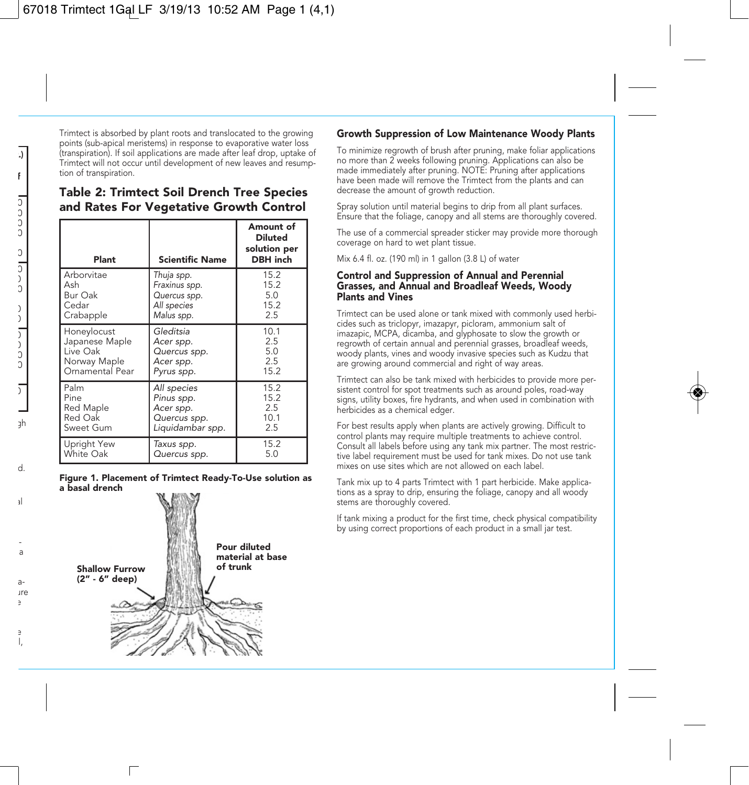Trimtect is absorbed by plant roots and translocated to the growing points (sub-apical meristems) in response to evaporative water loss (transpiration). If soil applications are made after leaf drop, uptake of Trimtect will not occur until development of new leaves and resumption of transpiration.

## Table 2: Trimtect Soil Drench Tree Species and Rates For Vegetative Growth Control

| Plant           | <b>Scientific Name</b> | Amount of<br><b>Diluted</b><br>solution per<br><b>DBH</b> inch |
|-----------------|------------------------|----------------------------------------------------------------|
| Arborvitae      | Thuja spp.             | 15.2                                                           |
| Ash             | Fraxinus spp.          | 15.2                                                           |
| Bur Oak         | Quercus spp.           | 5.0                                                            |
| Cedar           | All species            | 15.2                                                           |
| Crabapple       | Malus spp.             | 2.5                                                            |
| Honeylocust     | Gleditsia              | 10.1                                                           |
| Japanese Maple  | Acer spp.              | 2.5                                                            |
| Live Oak        | Quercus spp.           | 5.0                                                            |
| Norway Maple    | Acer spp.              | 2.5                                                            |
| Ornamental Pear | Pyrus spp.             | 15.2                                                           |
| Palm            | All species            | 15.2                                                           |
| Pine            | Pinus spp.             | 15.2                                                           |
| Red Maple       | Acer spp.              | 2.5                                                            |
| Red Oak         | Quercus spp.           | 10.1                                                           |
| Sweet Gum       | Liquidambar spp.       | 2.5                                                            |
| Upright Yew     | Taxus spp.             | 15.2                                                           |
| White Oak       | Quercus spp.           | 5.0                                                            |

#### Figure 1. Placement of Trimtect Ready-To-Use solution as a basal drench



### Growth Suppression of Low Maintenance Woody Plants

To minimize regrowth of brush after pruning, make foliar applications no more than 2 weeks following pruning. Applications can also be made immediately after pruning. NOTE: Pruning after applications have been made will remove the Trimtect from the plants and can decrease the amount of growth reduction.

Spray solution until material begins to drip from all plant surfaces. Ensure that the foliage, canopy and all stems are thoroughly covered.

The use of a commercial spreader sticker may provide more thorough coverage on hard to wet plant tissue.

Mix 6.4 fl. oz. (190 ml) in 1 gallon (3.8 L) of water

### Control and Suppression of Annual and Perennial Grasses, and Annual and Broadleaf Weeds, Woody Plants and Vines

Trimtect can be used alone or tank mixed with commonly used herbicides such as triclopyr, imazapyr, picloram, ammonium salt of imazapic, MCPA, dicamba, and glyphosate to slow the growth or regrowth of certain annual and perennial grasses, broadleaf weeds, woody plants, vines and woody invasive species such as Kudzu that are growing around commercial and right of way areas.

Trimtect can also be tank mixed with herbicides to provide more persistent control for spot treatments such as around poles, road-way signs, utility boxes, fire hydrants, and when used in combination with herbicides as a chemical edger.

For best results apply when plants are actively growing. Difficult to control plants may require multiple treatments to achieve control. Consult all labels before using any tank mix partner. The most restrictive label requirement must be used for tank mixes. Do not use tank mixes on use sites which are not allowed on each label.

Tank mix up to 4 parts Trimtect with 1 part herbicide. Make applications as a spray to drip, ensuring the foliage, canopy and all woody stems are thoroughly covered.

If tank mixing a product for the first time, check physical compatibility by using correct proportions of each product in a small jar test.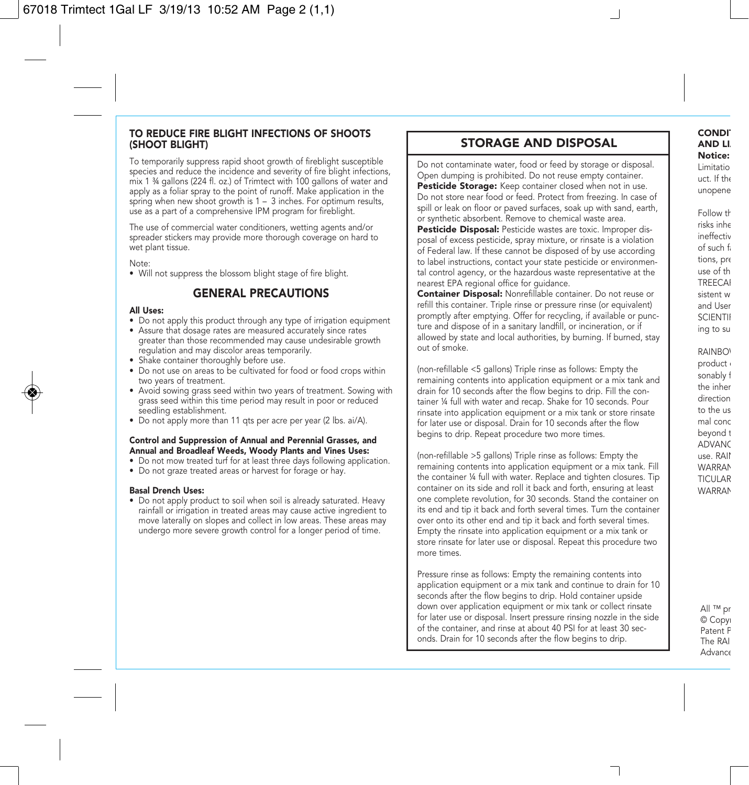### TO REDUCE FIRE BLIGHT INFECTIONS OF SHOOTS (SHOOT BLIGHT)

To temporarily suppress rapid shoot growth of fireblight susceptible species and reduce the incidence and severity of fire blight infections, mix 1 ¾ gallons (224 fl. oz.) of Trimtect with 100 gallons of water and apply as a foliar spray to the point of runoff. Make application in the spring when new shoot growth is 1 – 3 inches. For optimum results, use as a part of a comprehensive IPM program for fireblight.

The use of commercial water conditioners, wetting agents and/or spreader stickers may provide more thorough coverage on hard to wet plant tissue.

Note:

• Will not suppress the blossom blight stage of fire blight.

### GENERAL PRECAUTIONS

#### All Uses:

- Do not apply this product through any type of irrigation equipment
- Assure that dosage rates are measured accurately since rates greater than those recommended may cause undesirable growth regulation and may discolor areas temporarily.
- Shake container thoroughly before use.
- Do not use on areas to be cultivated for food or food crops within two years of treatment.
- Avoid sowing grass seed within two years of treatment. Sowing with grass seed within this time period may result in poor or reduced seedling establishment.
- Do not apply more than 11 qts per acre per year (2 lbs. ai/A).

#### Control and Suppression of Annual and Perennial Grasses, and Annual and Broadleaf Weeds, Woody Plants and Vines Uses:

- Do not mow treated turf for at least three days following application.
- Do not graze treated areas or harvest for forage or hay.

#### Basal Drench Uses:

• Do not apply product to soil when soil is already saturated. Heavy rainfall or irrigation in treated areas may cause active ingredient to move laterally on slopes and collect in low areas. These areas may undergo more severe growth control for a longer period of time.

## STORAGE AND DISPOSAL

Do not contaminate water, food or feed by storage or disposal. Open dumping is prohibited. Do not reuse empty container. Pesticide Storage: Keep container closed when not in use. Do not store near food or feed. Protect from freezing. In case of spill or leak on floor or paved surfaces, soak up with sand, earth, or synthetic absorbent. Remove to chemical waste area.

Pesticide Disposal: Pesticide wastes are toxic. Improper disposal of excess pesticide, spray mixture, or rinsate is a violation of Federal law. If these cannot be disposed of by use according to label instructions, contact your state pesticide or environmental control agency, or the hazardous waste representative at the nearest EPA regional office for guidance.

Container Disposal: Nonrefillable container. Do not reuse or refill this container. Triple rinse or pressure rinse (or equivalent) promptly after emptying. Offer for recycling, if available or puncture and dispose of in a sanitary landfill, or incineration, or if allowed by state and local authorities, by burning. If burned, stay out of smoke.

(non-refillable <5 gallons) Triple rinse as follows: Empty the remaining contents into application equipment or a mix tank and drain for 10 seconds after the flow begins to drip. Fill the container ¼ full with water and recap. Shake for 10 seconds. Pour rinsate into application equipment or a mix tank or store rinsate for later use or disposal. Drain for 10 seconds after the flow begins to drip. Repeat procedure two more times.

(non-refillable >5 gallons) Triple rinse as follows: Empty the remaining contents into application equipment or a mix tank. Fill the container ¼ full with water. Replace and tighten closures. Tip container on its side and roll it back and forth, ensuring at least one complete revolution, for 30 seconds. Stand the container on its end and tip it back and forth several times. Turn the container over onto its other end and tip it back and forth several times. Empty the rinsate into application equipment or a mix tank or store rinsate for later use or disposal. Repeat this procedure two more times.

Pressure rinse as follows: Empty the remaining contents into application equipment or a mix tank and continue to drain for 10 seconds after the flow begins to drip. Hold container upside down over application equipment or mix tank or collect rinsate for later use or disposal. Insert pressure rinsing nozzle in the side of the container, and rinse at about 40 PSI for at least 30 seconds. Drain for 10 seconds after the flow begins to drip.

**CONDI AND LI** Notice: Limitatio uct. If the

unopene

Follow th risks inhe ineffectiv of such f tions, pre use of th **TREECAI** sistent w and User **SCIENTII** ing to su

RAINBO<sup>®</sup> product sonably f the inher direction to the us mal conc beyond t ADVANC use. RAIN **WARRAN** TICULAR **WARRAN** 

> All ™ pr © Copy Patent P The RAI **Advance**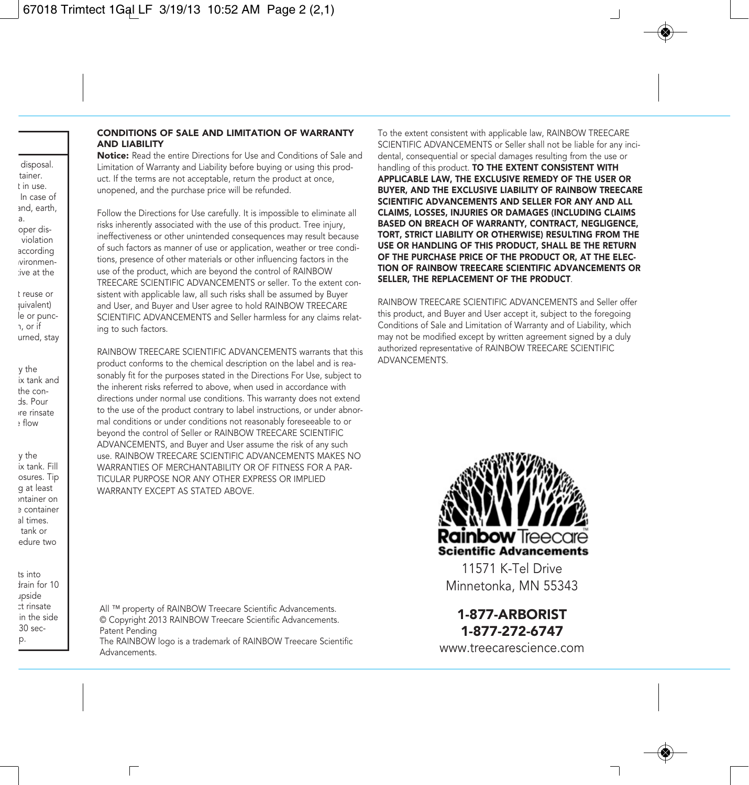## CONDITIONS OF SALE AND LIMITATION OF WARRANTY AND LIABILITY

Notice: Read the entire Directions for Use and Conditions of Sale and Limitation of Warranty and Liability before buying or using this product. If the terms are not acceptable, return the product at once, unopened, and the purchase price will be refunded.

Follow the Directions for Use carefully. It is impossible to eliminate all risks inherently associated with the use of this product. Tree injury, ineffectiveness or other unintended consequences may result because of such factors as manner of use or application, weather or tree conditions, presence of other materials or other influencing factors in the use of the product, which are beyond the control of RAINBOW TREECARE SCIENTIFIC ADVANCEMENTS or seller. To the extent consistent with applicable law, all such risks shall be assumed by Buyer and User, and Buyer and User agree to hold RAINBOW TREECARE SCIENTIFIC ADVANCEMENTS and Seller harmless for any claims relating to such factors.

RAINBOW TREECARE SCIENTIFIC ADVANCEMENTS warrants that this product conforms to the chemical description on the label and is reasonably fit for the purposes stated in the Directions For Use, subject to the inherent risks referred to above, when used in accordance with directions under normal use conditions. This warranty does not extend to the use of the product contrary to label instructions, or under abnormal conditions or under conditions not reasonably foreseeable to or beyond the control of Seller or RAINBOW TREECARE SCIENTIFIC ADVANCEMENTS, and Buyer and User assume the risk of any such use. RAINBOW TREECARE SCIENTIFIC ADVANCEMENTS MAKES NO WARRANTIES OF MERCHANTABILITY OR OF FITNESS FOR A PAR-TICULAR PURPOSE NOR ANY OTHER EXPRESS OR IMPLIED WARRANTY EXCEPT AS STATED ABOVE.

All ™ property of RAINBOW Treecare Scientific Advancements. © Copyright 2013 RAINBOW Treecare Scientific Advancements. Patent Pending The RAINBOW logo is a trademark of RAINBOW Treecare Scientific Advancements.

г

To the extent consistent with applicable law, RAINBOW TREECARE SCIENTIFIC ADVANCEMENTS or Seller shall not be liable for any incidental, consequential or special damages resulting from the use or handling of this product. TO THE EXTENT CONSISTENT WITH APPLICABLE LAW, THE EXCLUSIVE REMEDY OF THE USER OR BUYER, AND THE EXCLUSIVE LIABILITY OF RAINBOW TREECARE SCIENTIFIC ADVANCEMENTS AND SELLER FOR ANY AND ALL CLAIMS, LOSSES, INJURIES OR DAMAGES (INCLUDING CLAIMS BASED ON BREACH OF WARRANTY, CONTRACT, NEGLIGENCE, TORT, STRICT LIABILITY OR OTHERWISE) RESULTING FROM THE USE OR HANDLING OF THIS PRODUCT, SHALL BE THE RETURN OF THE PURCHASE PRICE OF THE PRODUCT OR, AT THE ELEC-TION OF RAINBOW TREECARE SCIENTIFIC ADVANCEMENTS OR SELLER, THE REPLACEMENT OF THE PRODUCT.

RAINBOW TREECARE SCIENTIFIC ADVANCEMENTS and Seller offer this product, and Buyer and User accept it, subject to the foregoing Conditions of Sale and Limitation of Warranty and of Liability, which may not be modified except by written agreement signed by a duly authorized representative of RAINBOW TREECARE SCIENTIFIC ADVANCEMENTS.



11571 K-Tel Drive Minnetonka, MN 55343

1-877-ARBORIST 1-877-272-6747

www.treecarescience.com

disposal. tainer. t in use. In case of and, earth, a. oper dis violation according nvironmentive at the

t reuse or quivalent) le or puncn, or if urned, stay

ty the ix tank and the conds. Pour ore rinsate  $h$  flow

ty the ix tank. Fill osures. Tip g at least ontainer on e container al times. tank or edure two

ts into drain for 10 upside ct rinsate in the side 30 secp.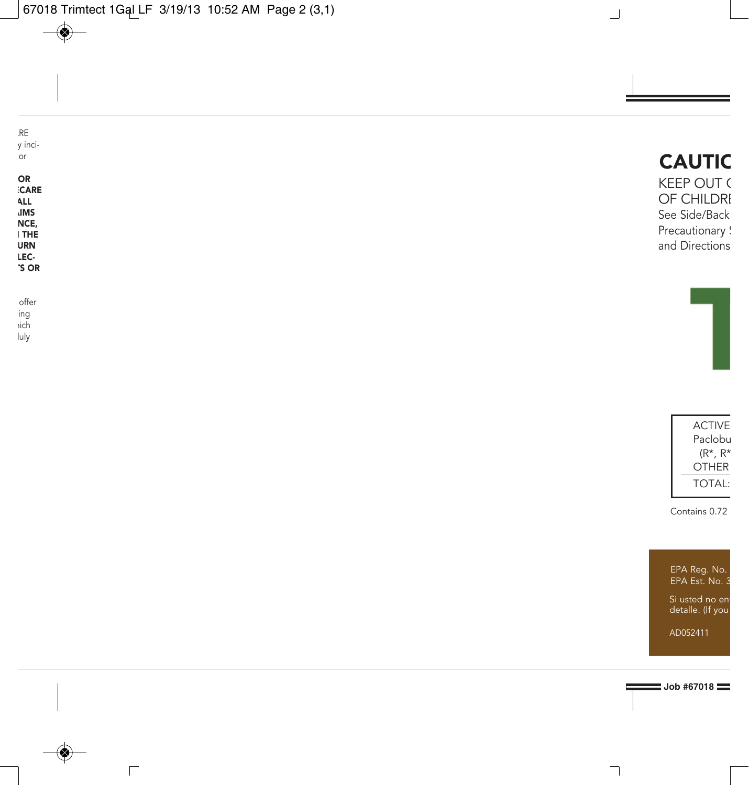| RE<br>y inci-<br>or                     | <b>CAUTIC</b>                                                |
|-----------------------------------------|--------------------------------------------------------------|
| OR<br>CARE<br>ALL<br><b>IMS</b><br>NCE, | KEEP OUT (<br>OF CHILDRI<br>See Side/Back<br>Precautionary : |
| <b>I THE</b><br>URN<br>LEC-<br>'S OR    | and Directions                                               |
| offer                                   |                                                              |

ing hich  $\bigoplus$ 

luly

◈

 $\overline{\Gamma}$ 



 $\Box$ 

Contains 0.72

EPA Reg. No. EPA Est. No. 3

Si usted no ent detalle. (If you

AD052411

**Job #67018** 

 $\overline{\phantom{a}}$